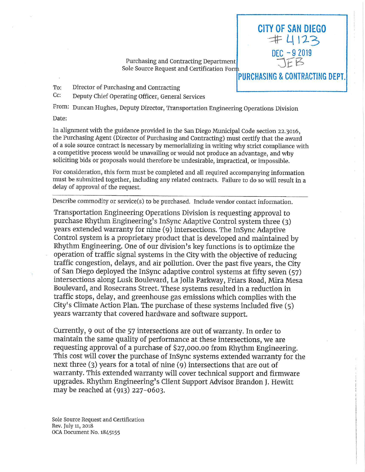Purchasing and Contracting Department Sole Source Request and Certification Form CITY OF SAN DIEGO  $\pm 4123$ 

> $DFC - 92019$ :)£Es

**PURCHASING** & **CONTRACTING DEPT.** 

To: Director of Purchasing and Contracting

Cc: Deputy Chief Operating Officer, General Services

From: Duncan Hughes, Deputy Director, Transportation Engineering Operations Division

Date:

In alignment with the guidance provided in the San Diego Municipal Code section 22 .3016, the Purchasing Agent (Director of Purchasing and Contracting) must certify that the award of a sole source contract is necessary by memorializing in writing why strict compliance with a competitive process would be unavailing or would not produce an advantage, and why soliciting bids or proposals would therefore be undesirable, impractical, or impossible.

For consideration, this form must be completed and all required accompanying information must be submitted together, including any related contracts. Failure to do so will result in a delay of approval of the request.

Describe commodity or service(s) to be purchased. Include vendor contact information.

Transportation Engineering Operations Division is requesting approval to purchase Rhythm Engineering's InSync Adaptive Control system three (3) years extended warranty for nine ( 9) intersections. The InSync Adaptive Control system is a proprietary product that is developed and maintained by Rhythm Engineering. One of our division's key functions is to optimize the operation of traffic signal systems in the City with the objective of reducing traffic congestion, delays, and air pollution. Over the past five years, the City of San Diego deployed the InSync adaptive control systems at fifty seven (57) intersections along Lusk Boulevard, La Jolla Parkway, Friars Road, Mira Mesa Boulevard, and Rosecrans Street. These systems resulted in a reduction in traffic stops, delay, and greenhouse gas emissions which complies with the City's Climate Action Plan. The purchase of these systems included five  $(5)$ years warranty that covered hardware and software support.

Currently, 9 out of the 57 intersections are out of warranty . In order to maintain the same quality of performance at these intersections, we are requesting approval of a purchase of \$27,000.00 from Rhythm Engineering. This cost will cover the purchase of InSync systems extended warranty for the next three (3) years for a total of nine ( 9) intersections that are out of warranty. This extended warranty will cover technical support and firmware upgrades. Rhythm Engineering's Client Support Advisor Brandon J. Hewitt may be reached at (913) 227-0603.

Sole Source Request and Certification Rev. July 11, 2018 OCA Document No. 1845155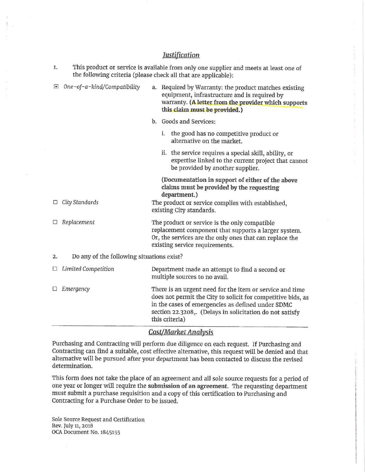## *Tustification*

| This product or service is available from only one supplier and meets at least one of<br>1.<br>the following criteria (please check all that are applicable): |                                                                                                                                                                                                    |                                                                                                                                                                                             |                                                                                                                                                                                                                                           |
|---------------------------------------------------------------------------------------------------------------------------------------------------------------|----------------------------------------------------------------------------------------------------------------------------------------------------------------------------------------------------|---------------------------------------------------------------------------------------------------------------------------------------------------------------------------------------------|-------------------------------------------------------------------------------------------------------------------------------------------------------------------------------------------------------------------------------------------|
| One-of-a-kind/Compatibility                                                                                                                                   |                                                                                                                                                                                                    | Required by Warranty: the product matches existing<br>equipment, infrastructure and is required by<br>warranty. (A letter from the provider which supports<br>this claim must be provided.) |                                                                                                                                                                                                                                           |
|                                                                                                                                                               |                                                                                                                                                                                                    |                                                                                                                                                                                             | b. Goods and Services:                                                                                                                                                                                                                    |
|                                                                                                                                                               |                                                                                                                                                                                                    | i.                                                                                                                                                                                          | the good has no competitive product or<br>alternative on the market.                                                                                                                                                                      |
|                                                                                                                                                               |                                                                                                                                                                                                    |                                                                                                                                                                                             | ii. the service requires a special skill, ability, or<br>expertise linked to the current project that cannot<br>be provided by another supplier.                                                                                          |
|                                                                                                                                                               |                                                                                                                                                                                                    |                                                                                                                                                                                             | (Documentation in support of either of the above<br>claims must be provided by the requesting<br>department.)                                                                                                                             |
|                                                                                                                                                               |                                                                                                                                                                                                    | The product or service complies with established,<br>existing City standards.                                                                                                               |                                                                                                                                                                                                                                           |
| Replacement                                                                                                                                                   | The product or service is the only compatible<br>replacement component that supports a larger system.<br>Or, the services are the only ones that can replace the<br>existing service requirements. |                                                                                                                                                                                             |                                                                                                                                                                                                                                           |
| Do any of the following situations exist?<br>2.                                                                                                               |                                                                                                                                                                                                    |                                                                                                                                                                                             |                                                                                                                                                                                                                                           |
| <b>Limited Competition</b>                                                                                                                                    |                                                                                                                                                                                                    |                                                                                                                                                                                             | Department made an attempt to find a second or<br>multiple sources to no avail.                                                                                                                                                           |
| Emergency                                                                                                                                                     |                                                                                                                                                                                                    |                                                                                                                                                                                             | There is an urgent need for the item or service and time<br>does not permit the City to solicit for competitive bids, as<br>in the cases of emergencies as defined under SDMC<br>section 22.3208,. (Delays in solicitation do not satisfy |
|                                                                                                                                                               | $\Box$ City Standards                                                                                                                                                                              |                                                                                                                                                                                             | a.<br>this criteria)                                                                                                                                                                                                                      |

## *Cost/Market Analysis*

Purchasing and Contracting will perform due diligence on each request. If Purchasing and Contracting can find a suitable, cost effective alternative, this request will be denied and that alternative will be pursued after your department has been contacted to discuss the revised determination.

This form does not take the place of an agreement and all sole source requests for a period of one year or longer will require the **submission of an agreement.** The requesting department must submit a purchase requisition and a copy of this certification to Purchasing and Contracting for a Purchase Order to be issued.

Sole Source Request and Certification Rev. July 11, 2018 OCA Document No. 1845155